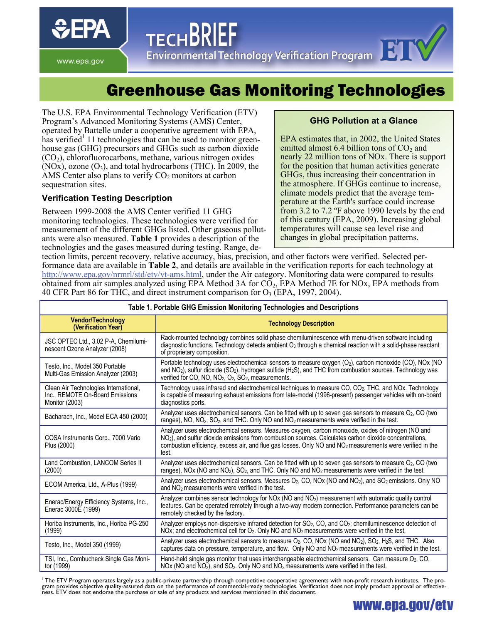www.epa.gov

**Environmental Technology Verification Program** 

# Greenhouse Gas Monitoring Technologies

The U.S. EPA Environmental Technology Verification (ETV) Program's Advanced Monitoring Systems (AMS) Center, operated by Battelle under a cooperative agreement with EPA, has verified<sup>1</sup> 11 technologies that can be used to monitor greenhouse gas (GHG) precursors and GHGs such as carbon dioxide  $(CO<sub>2</sub>)$ , chlorofluorocarbons, methane, various nitrogen oxides  $(NOx)$ , ozone  $(O_3)$ , and total hydrocarbons (THC). In 2009, the AMS Center also plans to verify  $CO<sub>2</sub>$  monitors at carbon sequestration sites.

**TECHBRIEF** 

## **Verification Testing Description**

Between 1999-2008 the AMS Center verified 11 GHG monitoring technologies. These technologies were verified for measurement of the different GHGs listed. Other gaseous pollutants were also measured. **Table 1** provides a description of the technologies and the gases measured during testing. Range, de-

### **GHG Pollution at a Glance**

EPA estimates that, in 2002, the United States emitted almost  $6.4$  billion tons of  $CO<sub>2</sub>$  and nearly 22 million tons of NOx. There is support for the position that human activities generate GHGs, thus increasing their concentration in the atmosphere. If GHGs continue to increase, climate models predict that the average temperature at the Earth's surface could increase from 3.2 to 7.2 ºF above 1990 levels by the end of this century (EPA, 2009). Increasing global temperatures will cause sea level rise and changes in global precipitation patterns.

tection limits, percent recovery, relative accuracy, bias, precision, and other factors were verified. Selected performance data are available in **Table 2**, and details are available in the verification reports for each technology at <http://www.epa.gov/nrmrl/std/etv/vt-ams.html>, under the Air category. Monitoring data were compared to results obtained from air samples analyzed using EPA Method 3A for  $\overline{CO}_2$ , EPA Method 7E for NOx, EPA methods from 40 CFR Part 86 for THC, and direct instrument comparison for  $O_3$  (EPA, 1997, 2004).

| Table 1. Portable GHG Emission Monitoring Technologies and Descriptions                    |                                                                                                                                                                                                                                                                                                                                                             |  |  |  |
|--------------------------------------------------------------------------------------------|-------------------------------------------------------------------------------------------------------------------------------------------------------------------------------------------------------------------------------------------------------------------------------------------------------------------------------------------------------------|--|--|--|
| <b>Vendor/Technology</b><br>(Verification Year)                                            | <b>Technology Description</b>                                                                                                                                                                                                                                                                                                                               |  |  |  |
| JSC OPTEC Ltd., 3.02 P-A, Chemilumi-<br>nescent Ozone Analyzer (2008)                      | Rack-mounted technology combines solid phase chemiluminescence with menu-driven software including<br>diagnostic functions. Technology detects ambient $O_3$ through a chemical reaction with a solid-phase reactant<br>of proprietary composition.                                                                                                         |  |  |  |
| Testo, Inc., Model 350 Portable<br>Multi-Gas Emission Analyzer (2003)                      | Portable technology uses electrochemical sensors to measure oxygen $(O_2)$ , carbon monoxide (CO), NOx (NO<br>and $NO2$ ), sulfur dioxide (SO <sub>2</sub> ), hydrogen sulfide (H <sub>2</sub> S), and THC from combustion sources. Technology was<br>verified for CO, NO, NO <sub>2</sub> , O <sub>2</sub> , SO <sub>2</sub> , measurements.               |  |  |  |
| Clean Air Technologies International,<br>Inc., REMOTE On-Board Emissions<br>Monitor (2003) | Technology uses infrared and electrochemical techniques to measure CO, CO <sub>2</sub> , THC, and NOx. Technology<br>is capable of measuring exhaust emissions from late-model (1996-present) passenger vehicles with on-board<br>diagnostics ports.                                                                                                        |  |  |  |
| Bacharach, Inc., Model ECA 450 (2000)                                                      | Analyzer uses electrochemical sensors. Can be fitted with up to seven gas sensors to measure O <sub>2</sub> , CO (two<br>ranges), NO, NO <sub>2</sub> , SO <sub>2</sub> , and THC. Only NO and NO <sub>2</sub> measurements were verified in the test.                                                                                                      |  |  |  |
| COSA Instruments Corp., 7000 Vario<br>Plus (2000)                                          | Analyzer uses electrochemical sensors. Measures oxygen, carbon monoxide, oxides of nitrogen (NO and<br>NO <sub>2</sub> ), and sulfur dioxide emissions from combustion sources. Calculates carbon dioxide concentrations,<br>combustion efficiency, excess air, and flue gas losses. Only NO and NO <sub>2</sub> measurements were verified in the<br>test. |  |  |  |
| Land Combustion, LANCOM Series II<br>(2000)                                                | Analyzer uses electrochemical sensors. Can be fitted with up to seven gas sensors to measure O <sub>2</sub> , CO (two<br>ranges), NOx (NO and NO <sub>2</sub> ), SO <sub>2</sub> , and THC. Only NO and NO <sub>2</sub> measurements were verified in the test.                                                                                             |  |  |  |
| ECOM America, Ltd., A-Plus (1999)                                                          | Analyzer uses electrochemical sensors. Measures $O_2$ , CO, NOx (NO and NO <sub>2</sub> ), and SO <sub>2</sub> emissions. Only NO<br>and $NO2$ measurements were verified in the test.                                                                                                                                                                      |  |  |  |
| Enerac/Energy Efficiency Systems, Inc.,<br>Enerac 3000E (1999)                             | Analyzer combines sensor technology for NOx (NO and NO <sub>2</sub> ) measurement with automatic quality control<br>features. Can be operated remotely through a two-way modem connection. Performance parameters can be<br>remotely checked by the factory.                                                                                                |  |  |  |
| Horiba Instruments, Inc., Horiba PG-250<br>(1999)                                          | Analyzer employs non-dispersive infrared detection for SO <sub>2</sub> , CO, and CO <sub>2</sub> ; chemiluminescence detection of<br>NOx; and electrochemical cell for O <sub>2</sub> . Only NO and NO <sub>2</sub> measurements were verified in the test.                                                                                                 |  |  |  |
| Testo, Inc., Model 350 (1999)                                                              | Analyzer uses electrochemical sensors to measure O <sub>2</sub> , CO, NOx (NO and NO <sub>2</sub> ), SO <sub>2</sub> , H <sub>2</sub> S, and THC. Also<br>captures data on pressure, temperature, and flow. Only NO and NO <sub>2</sub> measurements were verified in the test.                                                                             |  |  |  |
| TSI, Inc., Combucheck Single Gas Moni-<br>tor (1999)                                       | Hand-held single gas monitor that uses interchangeable electrochemical sensors. Can measure $O_2$ , CO,<br>$NOX$ (NO and $NO2$ ), and $SO2$ . Only NO and $NO2$ measurements were verified in the test.                                                                                                                                                     |  |  |  |

<sup>'</sup> The ETV Program operates largely as a public-private partnership through competitive cooperative agreements with non-profit research institutes. The pro-<br>gram provides objective quality-assured data on the performance